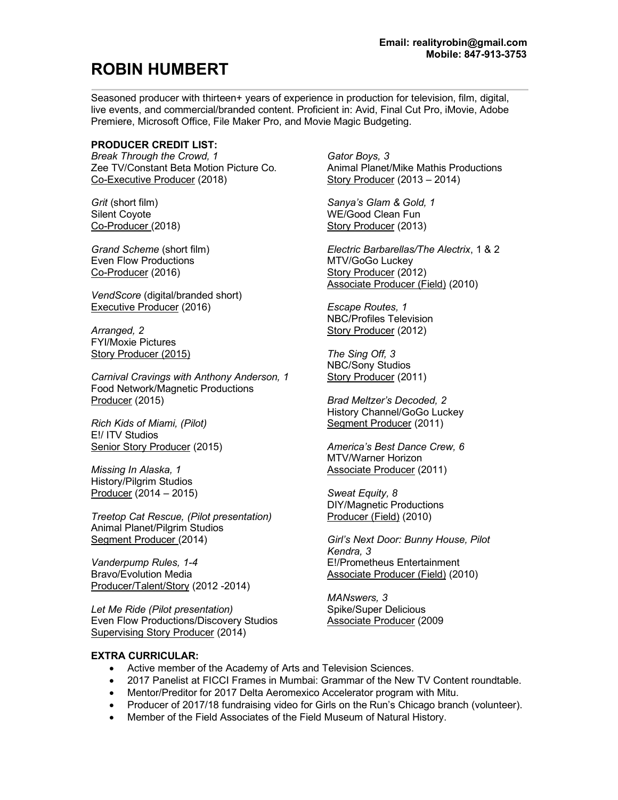# **ROBIN HUMBERT**

Seasoned producer with thirteen+ years of experience in production for television, film, digital, live events, and commercial/branded content. Proficient in: Avid, Final Cut Pro, iMovie, Adobe Premiere, Microsoft Office, File Maker Pro, and Movie Magic Budgeting.

## **PRODUCER CREDIT LIST:**

*Break Through the Crowd, 1* Zee TV/Constant Beta Motion Picture Co. Co-Executive Producer (2018)

*Grit* (short film) Silent Coyote Co-Producer (2018)

*Grand Scheme* (short film) Even Flow Productions Co-Producer (2016)

*VendScore* (digital/branded short) Executive Producer (2016)

*Arranged, 2* FYI/Moxie Pictures Story Producer (2015)

*Carnival Cravings with Anthony Anderson, 1* Food Network/Magnetic Productions Producer (2015)

*Rich Kids of Miami, (Pilot)* E!/ ITV Studios Senior Story Producer (2015)

*Missing In Alaska, 1*  History/Pilgrim Studios Producer (2014 – 2015)

*Treetop Cat Rescue, (Pilot presentation)* Animal Planet/Pilgrim Studios Segment Producer (2014)

*Vanderpump Rules, 1-4* Bravo/Evolution Media Producer/Talent/Story (2012 -2014)

*Let Me Ride (Pilot presentation)*  Even Flow Productions/Discovery Studios Supervising Story Producer (2014)

*Gator Boys, 3* Animal Planet/Mike Mathis Productions Story Producer (2013 – 2014)

*Sanya's Glam & Gold, 1* WE/Good Clean Fun Story Producer (2013)

*Electric Barbarellas/The Alectrix*, 1 & 2 MTV/GoGo Luckey Story Producer (2012) Associate Producer (Field) (2010)

*Escape Routes, 1* NBC/Profiles Television Story Producer (2012)

*The Sing Off, 3* NBC/Sony Studios Story Producer (2011)

*Brad Meltzer's Decoded, 2*  History Channel/GoGo Luckey Segment Producer (2011)

*America's Best Dance Crew, 6* MTV/Warner Horizon Associate Producer (2011)

*Sweat Equity, 8* DIY/Magnetic Productions Producer (Field) (2010)

*Girl's Next Door: Bunny House, Pilot Kendra, 3* E!/Prometheus Entertainment Associate Producer (Field) (2010)

*MANswers, 3*  Spike/Super Delicious Associate Producer (2009

## **EXTRA CURRICULAR:**

- Active member of the Academy of Arts and Television Sciences.
- 2017 Panelist at FICCI Frames in Mumbai: Grammar of the New TV Content roundtable.
- Mentor/Preditor for 2017 Delta Aeromexico Accelerator program with Mitu.
- Producer of 2017/18 fundraising video for Girls on the Run's Chicago branch (volunteer).
- Member of the Field Associates of the Field Museum of Natural History.